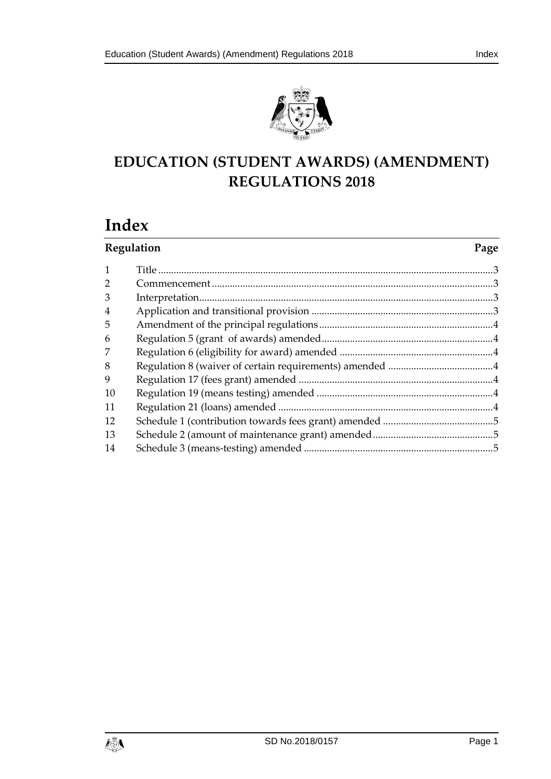



## **EDUCATION (STUDENT AWARDS) (AMENDMENT) REGULATIONS 2018**

# **Index**

| Regulation     |  | Page |
|----------------|--|------|
| $\mathbf{1}$   |  |      |
| $\overline{2}$ |  |      |
| 3              |  |      |
| $\overline{4}$ |  |      |
| 5              |  |      |
| 6              |  |      |
| 7              |  |      |
| 8              |  |      |
| 9              |  |      |
| 10             |  |      |
| 11             |  |      |
| 12             |  |      |
| 13             |  |      |
| 14             |  |      |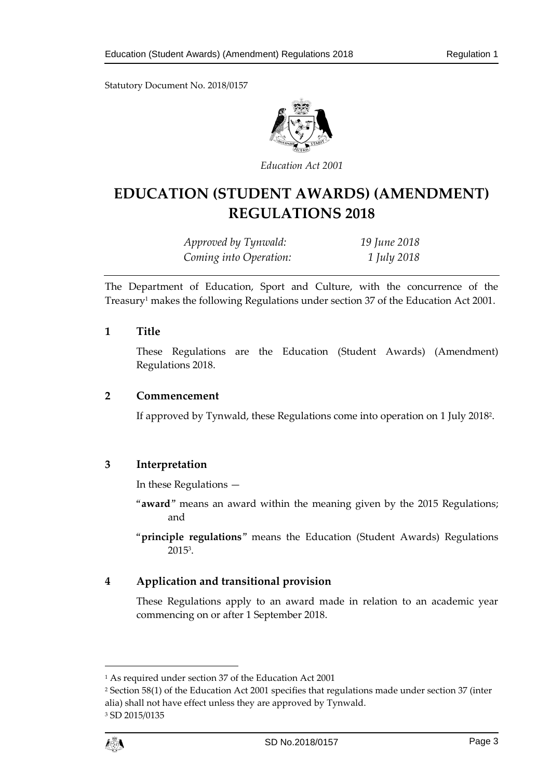Statutory Document No. 2018/0157



*Education Act 2001* 

## **EDUCATION (STUDENT AWARDS) (AMENDMENT) REGULATIONS 2018**

*Approved by Tynwald: 19 June 2018 Coming into Operation: 1 July 2018* 

The Department of Education, Sport and Culture, with the concurrence of the Treasury<sup>1</sup> makes the following Regulations under section 37 of the Education Act 2001.

## <span id="page-2-0"></span>**1 Title**

These Regulations are the Education (Student Awards) (Amendment) Regulations 2018.

#### <span id="page-2-1"></span>**2 Commencement**

If approved by Tynwald, these Regulations come into operation on 1 July 2018<sup>2</sup> .

## <span id="page-2-2"></span>**3 Interpretation**

In these Regulations —

"**award**" means an award within the meaning given by the 2015 Regulations; and

"**principle regulations**" means the Education (Student Awards) Regulations 2015<sup>3</sup> .

## <span id="page-2-3"></span>**4 Application and transitional provision**

These Regulations apply to an award made in relation to an academic year commencing on or after 1 September 2018.

<sup>2</sup> Section 58(1) of the Education Act 2001 specifies that regulations made under section 37 (inter alia) shall not have effect unless they are approved by Tynwald. 3 SD 2015/0135



<sup>1</sup> As required under section 37 of the Education Act 2001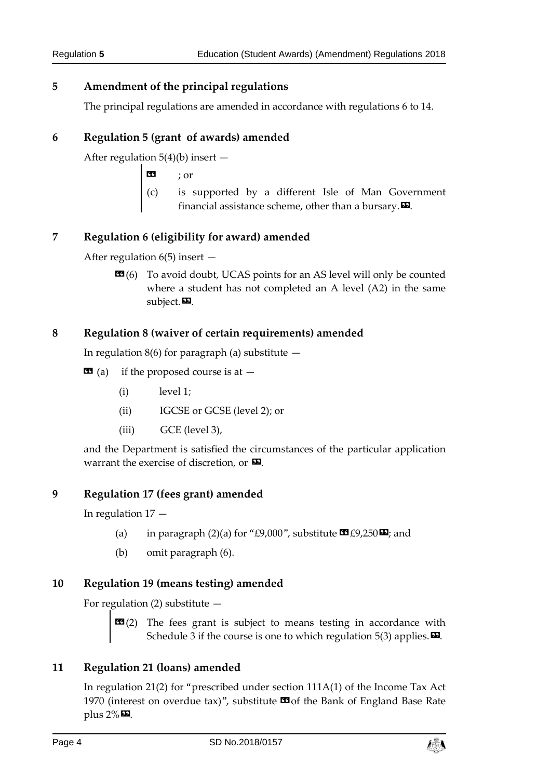## <span id="page-3-0"></span>**5 Amendment of the principal regulations**

The principal regulations are amended in accordance with regulations 6 to 14.

## <span id="page-3-1"></span>**6 Regulation 5 (grant of awards) amended**

After regulation  $5(4)(b)$  insert  $-$ 

« ; or

(c) is supported by a different Isle of Man Government financial assistance scheme, other than a bursary. $\boldsymbol{\mathsf{\Xi}}$ .

## <span id="page-3-2"></span>**7 Regulation 6 (eligibility for award) amended**

After regulation  $6(5)$  insert  $-$ 

**EG**(6) To avoid doubt, UCAS points for an AS level will only be counted where a student has not completed an A level (A2) in the same subject. $\blacksquare$ .

## <span id="page-3-3"></span>**8 Regulation 8 (waiver of certain requirements) amended**

In regulation  $8(6)$  for paragraph (a) substitute  $-$ 

- $\bullet$  (a) if the proposed course is at  $-$ 
	- (i) level 1;
	- (ii) IGCSE or GCSE (level 2); or
	- (iii) GCE (level 3),

and the Department is satisfied the circumstances of the particular application warrant the exercise of discretion, or  $\boldsymbol{\Sigma}$ .

## <span id="page-3-4"></span>**9 Regulation 17 (fees grant) amended**

In regulation 17 —

- (a) in paragraph (2)(a) for "£9,000", substitute  $\mathbf{C}$  £9,250 $\mathbf{E}$ ; and
- (b) omit paragraph (6).

## <span id="page-3-5"></span>**10 Regulation 19 (means testing) amended**

For regulation  $(2)$  substitute  $-$ 

**EE**(2) The fees grant is subject to means testing in accordance with Schedule 3 if the course is one to which regulation  $5(3)$  applies.  $\mathbf{E}$ .

## <span id="page-3-6"></span>**11 Regulation 21 (loans) amended**

In regulation 21(2) for "prescribed under section 111A(1) of the Income Tax Act 1970 (interest on overdue tax)", substitute  $\Box$  of the Bank of England Base Rate plus  $2\%$  $\Box$ .

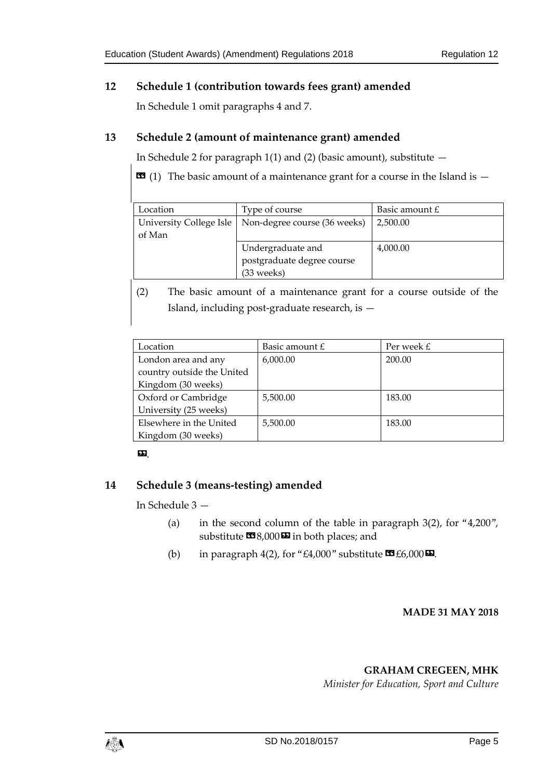## <span id="page-4-0"></span>**12 Schedule 1 (contribution towards fees grant) amended**

In Schedule 1 omit paragraphs 4 and 7.

## <span id="page-4-1"></span>**13 Schedule 2 (amount of maintenance grant) amended**

In Schedule 2 for paragraph  $1(1)$  and (2) (basic amount), substitute  $-$ 

 $\text{1}$  (1) The basic amount of a maintenance grant for a course in the Island is  $-$ 

| Location | Type of course                                         | Basic amount $E$ |
|----------|--------------------------------------------------------|------------------|
|          | University College Isle   Non-degree course (36 weeks) | 2,500.00         |
| of Man   |                                                        |                  |
|          | Undergraduate and                                      | 4,000.00         |
|          | postgraduate degree course                             |                  |
|          | (33 weeks)                                             |                  |

(2) The basic amount of a maintenance grant for a course outside of the Island, including post-graduate research, is —

| Location                   | Basic amount $E$ | Per week $E$ |
|----------------------------|------------------|--------------|
| London area and any        | 6,000.00         | 200.00       |
| country outside the United |                  |              |
| Kingdom (30 weeks)         |                  |              |
| Oxford or Cambridge        | 5,500.00         | 183.00       |
| University (25 weeks)      |                  |              |
| Elsewhere in the United    | 5,500.00         | 183.00       |
| Kingdom (30 weeks)         |                  |              |

### ».

## <span id="page-4-2"></span>**14 Schedule 3 (means-testing) amended**

In Schedule 3 —

- (a) in the second column of the table in paragraph  $3(2)$ , for "4,200", substitute  $\text{I}(\mathcal{A})=8,000\,\text{I}(\mathcal{A})$  in both places; and
- (b) in paragraph 4(2), for "£4,000" substitute  $\mathbf{C}$  £6,000 $\mathbf{D}$ .

#### **MADE 31 MAY 2018**

#### **GRAHAM CREGEEN, MHK**

*Minister for Education, Sport and Culture*